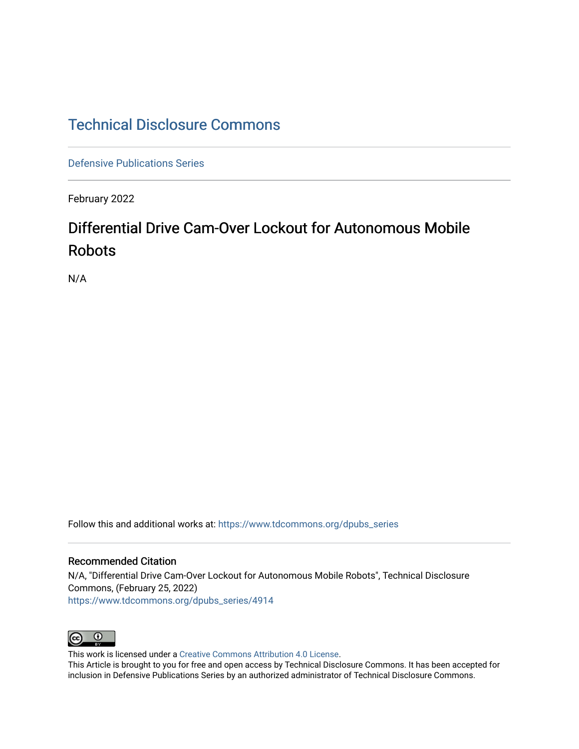# [Technical Disclosure Commons](https://www.tdcommons.org/)

[Defensive Publications Series](https://www.tdcommons.org/dpubs_series)

February 2022

# Differential Drive Cam-Over Lockout for Autonomous Mobile Robots

N/A

Follow this and additional works at: [https://www.tdcommons.org/dpubs\\_series](https://www.tdcommons.org/dpubs_series?utm_source=www.tdcommons.org%2Fdpubs_series%2F4914&utm_medium=PDF&utm_campaign=PDFCoverPages) 

## Recommended Citation

N/A, "Differential Drive Cam-Over Lockout for Autonomous Mobile Robots", Technical Disclosure Commons, (February 25, 2022) [https://www.tdcommons.org/dpubs\\_series/4914](https://www.tdcommons.org/dpubs_series/4914?utm_source=www.tdcommons.org%2Fdpubs_series%2F4914&utm_medium=PDF&utm_campaign=PDFCoverPages)



This work is licensed under a [Creative Commons Attribution 4.0 License](http://creativecommons.org/licenses/by/4.0/deed.en_US).

This Article is brought to you for free and open access by Technical Disclosure Commons. It has been accepted for inclusion in Defensive Publications Series by an authorized administrator of Technical Disclosure Commons.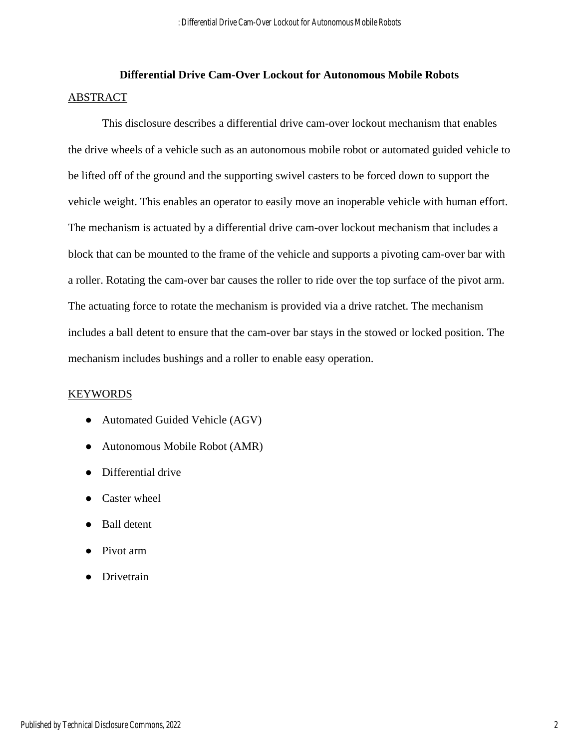# **Differential Drive Cam-Over Lockout for Autonomous Mobile Robots** ABSTRACT

This disclosure describes a differential drive cam-over lockout mechanism that enables the drive wheels of a vehicle such as an autonomous mobile robot or automated guided vehicle to be lifted off of the ground and the supporting swivel casters to be forced down to support the vehicle weight. This enables an operator to easily move an inoperable vehicle with human effort. The mechanism is actuated by a differential drive cam-over lockout mechanism that includes a block that can be mounted to the frame of the vehicle and supports a pivoting cam-over bar with a roller. Rotating the cam-over bar causes the roller to ride over the top surface of the pivot arm. The actuating force to rotate the mechanism is provided via a drive ratchet. The mechanism includes a ball detent to ensure that the cam-over bar stays in the stowed or locked position. The mechanism includes bushings and a roller to enable easy operation.

## **KEYWORDS**

- Automated Guided Vehicle (AGV)
- Autonomous Mobile Robot (AMR)
- Differential drive
- Caster wheel
- Ball detent
- Pivot arm
- Drivetrain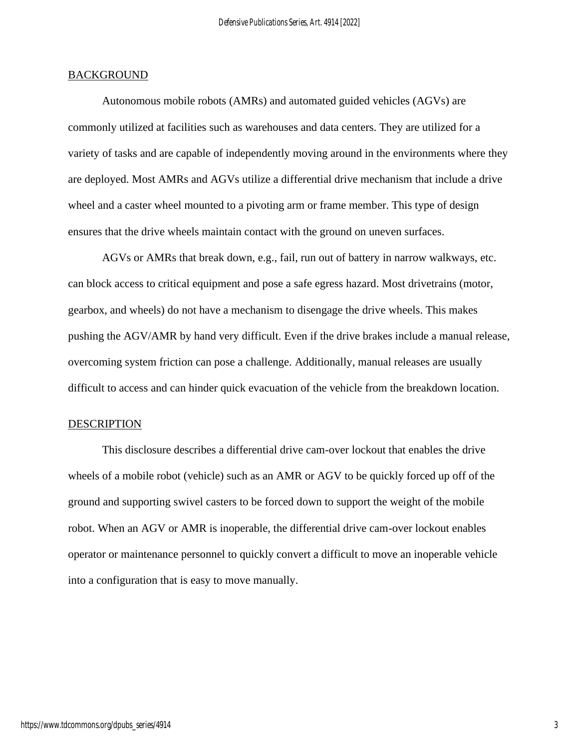### **BACKGROUND**

Autonomous mobile robots (AMRs) and automated guided vehicles (AGVs) are commonly utilized at facilities such as warehouses and data centers. They are utilized for a variety of tasks and are capable of independently moving around in the environments where they are deployed. Most AMRs and AGVs utilize a differential drive mechanism that include a drive wheel and a caster wheel mounted to a pivoting arm or frame member. This type of design ensures that the drive wheels maintain contact with the ground on uneven surfaces.

AGVs or AMRs that break down, e.g., fail, run out of battery in narrow walkways, etc. can block access to critical equipment and pose a safe egress hazard. Most drivetrains (motor, gearbox, and wheels) do not have a mechanism to disengage the drive wheels. This makes pushing the AGV/AMR by hand very difficult. Even if the drive brakes include a manual release, overcoming system friction can pose a challenge. Additionally, manual releases are usually difficult to access and can hinder quick evacuation of the vehicle from the breakdown location.

#### DESCRIPTION

This disclosure describes a differential drive cam-over lockout that enables the drive wheels of a mobile robot (vehicle) such as an AMR or AGV to be quickly forced up off of the ground and supporting swivel casters to be forced down to support the weight of the mobile robot. When an AGV or AMR is inoperable, the differential drive cam-over lockout enables operator or maintenance personnel to quickly convert a difficult to move an inoperable vehicle into a configuration that is easy to move manually.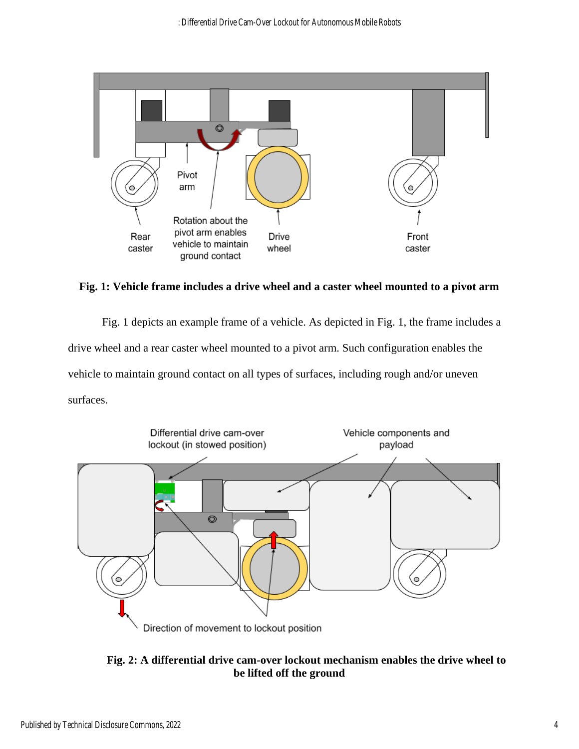

**Fig. 1: Vehicle frame includes a drive wheel and a caster wheel mounted to a pivot arm**

Fig. 1 depicts an example frame of a vehicle. As depicted in Fig. 1, the frame includes a drive wheel and a rear caster wheel mounted to a pivot arm. Such configuration enables the vehicle to maintain ground contact on all types of surfaces, including rough and/or uneven surfaces.



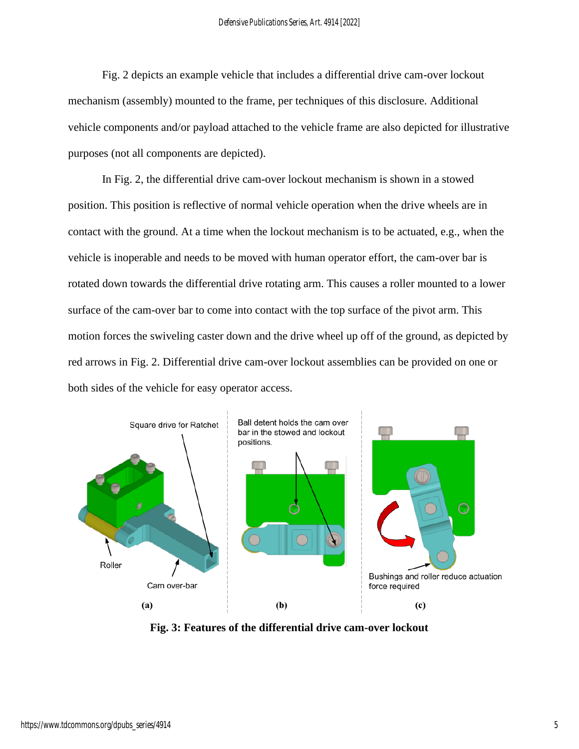Fig. 2 depicts an example vehicle that includes a differential drive cam-over lockout mechanism (assembly) mounted to the frame, per techniques of this disclosure. Additional vehicle components and/or payload attached to the vehicle frame are also depicted for illustrative purposes (not all components are depicted).

In Fig. 2, the differential drive cam-over lockout mechanism is shown in a stowed position. This position is reflective of normal vehicle operation when the drive wheels are in contact with the ground. At a time when the lockout mechanism is to be actuated, e.g., when the vehicle is inoperable and needs to be moved with human operator effort, the cam-over bar is rotated down towards the differential drive rotating arm. This causes a roller mounted to a lower surface of the cam-over bar to come into contact with the top surface of the pivot arm. This motion forces the swiveling caster down and the drive wheel up off of the ground, as depicted by red arrows in Fig. 2. Differential drive cam-over lockout assemblies can be provided on one or both sides of the vehicle for easy operator access.



**Fig. 3: Features of the differential drive cam-over lockout**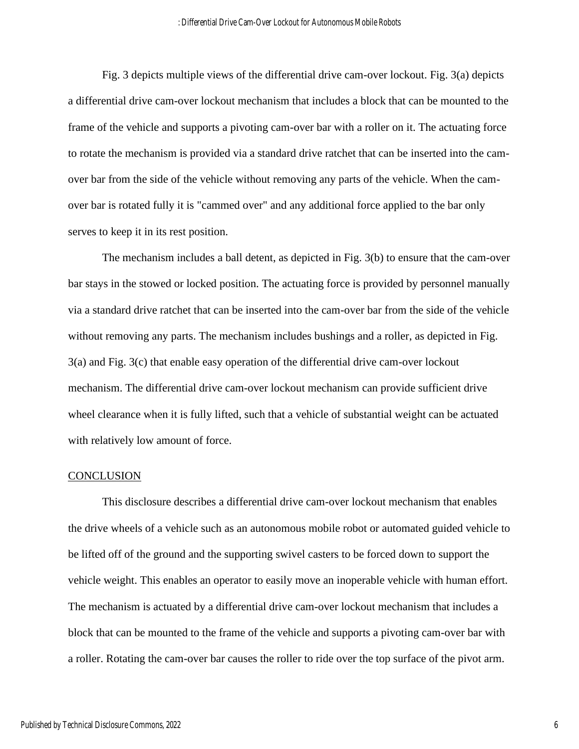Fig. 3 depicts multiple views of the differential drive cam-over lockout. Fig. 3(a) depicts a differential drive cam-over lockout mechanism that includes a block that can be mounted to the frame of the vehicle and supports a pivoting cam-over bar with a roller on it. The actuating force to rotate the mechanism is provided via a standard drive ratchet that can be inserted into the camover bar from the side of the vehicle without removing any parts of the vehicle. When the camover bar is rotated fully it is "cammed over" and any additional force applied to the bar only serves to keep it in its rest position.

The mechanism includes a ball detent, as depicted in Fig. 3(b) to ensure that the cam-over bar stays in the stowed or locked position. The actuating force is provided by personnel manually via a standard drive ratchet that can be inserted into the cam-over bar from the side of the vehicle without removing any parts. The mechanism includes bushings and a roller, as depicted in Fig. 3(a) and Fig. 3(c) that enable easy operation of the differential drive cam-over lockout mechanism. The differential drive cam-over lockout mechanism can provide sufficient drive wheel clearance when it is fully lifted, such that a vehicle of substantial weight can be actuated with relatively low amount of force.

### **CONCLUSION**

This disclosure describes a differential drive cam-over lockout mechanism that enables the drive wheels of a vehicle such as an autonomous mobile robot or automated guided vehicle to be lifted off of the ground and the supporting swivel casters to be forced down to support the vehicle weight. This enables an operator to easily move an inoperable vehicle with human effort. The mechanism is actuated by a differential drive cam-over lockout mechanism that includes a block that can be mounted to the frame of the vehicle and supports a pivoting cam-over bar with a roller. Rotating the cam-over bar causes the roller to ride over the top surface of the pivot arm.